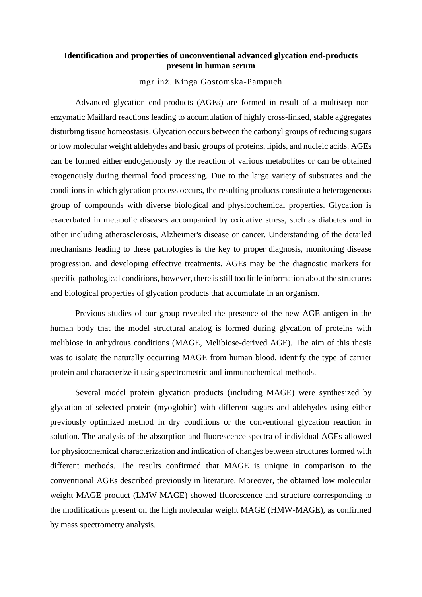## **Identification and properties of unconventional advanced glycation end-products present in human serum**

mgr inż. Kinga Gostomska-Pampuch

Advanced glycation end-products (AGEs) are formed in result of a multistep nonenzymatic Maillard reactions leading to accumulation of highly cross-linked, stable aggregates disturbing tissue homeostasis. Glycation occurs between the carbonyl groups of reducing sugars or low molecular weight aldehydes and basic groups of proteins, lipids, and nucleic acids. AGEs can be formed either endogenously by the reaction of various metabolites or can be obtained exogenously during thermal food processing. Due to the large variety of substrates and the conditions in which glycation process occurs, the resulting products constitute a heterogeneous group of compounds with diverse biological and physicochemical properties. Glycation is exacerbated in metabolic diseases accompanied by oxidative stress, such as diabetes and in other including atherosclerosis, Alzheimer's disease or cancer. Understanding of the detailed mechanisms leading to these pathologies is the key to proper diagnosis, monitoring disease progression, and developing effective treatments. AGEs may be the diagnostic markers for specific pathological conditions, however, there is still too little information about the structures and biological properties of glycation products that accumulate in an organism.

Previous studies of our group revealed the presence of the new AGE antigen in the human body that the model structural analog is formed during glycation of proteins with melibiose in anhydrous conditions (MAGE, Melibiose-derived AGE). The aim of this thesis was to isolate the naturally occurring MAGE from human blood, identify the type of carrier protein and characterize it using spectrometric and immunochemical methods.

Several model protein glycation products (including MAGE) were synthesized by glycation of selected protein (myoglobin) with different sugars and aldehydes using either previously optimized method in dry conditions or the conventional glycation reaction in solution. The analysis of the absorption and fluorescence spectra of individual AGEs allowed for physicochemical characterization and indication of changes between structures formed with different methods. The results confirmed that MAGE is unique in comparison to the conventional AGEs described previously in literature. Moreover, the obtained low molecular weight MAGE product (LMW-MAGE) showed fluorescence and structure corresponding to the modifications present on the high molecular weight MAGE (HMW-MAGE), as confirmed by mass spectrometry analysis.